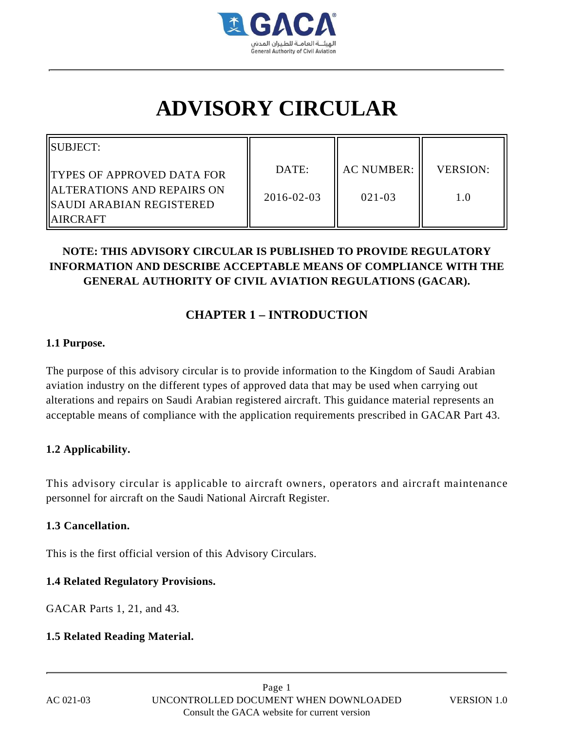

# **ADVISORY CIRCULAR**

| IISUBJECT:                                                                                |                           |                                 |                        |
|-------------------------------------------------------------------------------------------|---------------------------|---------------------------------|------------------------|
| IITYPES OF APPROVED DATA FOR<br>IALTERATIONS AND REPAIRS ON<br>  SAUDI ARABIAN REGISTERED | DATE:<br>$2016 - 02 - 03$ | <b>AC NUMBER:</b><br>$021 - 03$ | <b>VERSION:</b><br>1.0 |
| <b>IIAIRCRAFT</b>                                                                         |                           |                                 |                        |

# **NOTE: THIS ADVISORY CIRCULAR IS PUBLISHED TO PROVIDE REGULATORY INFORMATION AND DESCRIBE ACCEPTABLE MEANS OF COMPLIANCE WITH THE GENERAL AUTHORITY OF CIVIL AVIATION REGULATIONS (GACAR).**

# **CHAPTER 1 – INTRODUCTION**

#### **1.1 Purpose.**

The purpose of this advisory circular is to provide information to the Kingdom of Saudi Arabian aviation industry on the different types of approved data that may be used when carrying out alterations and repairs on Saudi Arabian registered aircraft. This guidance material represents an acceptable means of compliance with the application requirements prescribed in GACAR Part 43.

### **1.2 Applicability.**

This advisory circular is applicable to aircraft owners, operators and aircraft maintenance personnel for aircraft on the Saudi National Aircraft Register.

#### **1.3 Cancellation.**

This is the first official version of this Advisory Circulars.

#### **1.4 Related Regulatory Provisions.**

GACAR Parts 1, 21, and 43.

### **1.5 Related Reading Material.**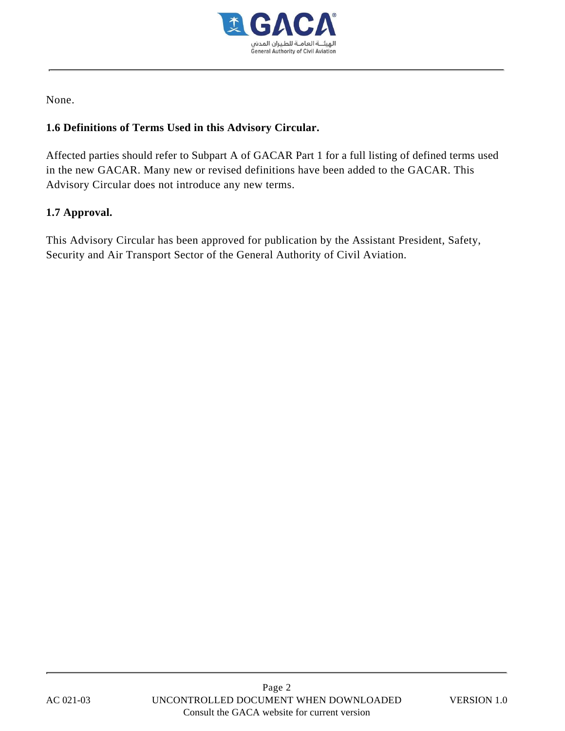

None.

### **1.6 Definitions of Terms Used in this Advisory Circular.**

Affected parties should refer to Subpart A of GACAR Part 1 for a full listing of defined terms used in the new GACAR. Many new or revised definitions have been added to the GACAR. This Advisory Circular does not introduce any new terms.

### **1.7 Approval.**

This Advisory Circular has been approved for publication by the Assistant President, Safety, Security and Air Transport Sector of the General Authority of Civil Aviation.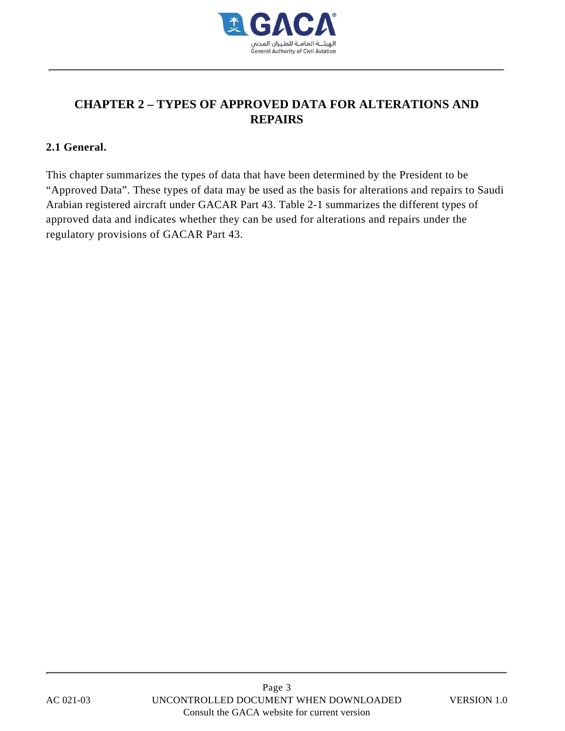

# **CHAPTER 2 – TYPES OF APPROVED DATA FOR ALTERATIONS AND REPAIRS**

#### **2.1 General.**

This chapter summarizes the types of data that have been determined by the President to be "Approved Data". These types of data may be used as the basis for alterations and repairs to Saudi Arabian registered aircraft under GACAR Part 43. Table 2-1 summarizes the different types of approved data and indicates whether they can be used for alterations and repairs under the regulatory provisions of GACAR Part 43.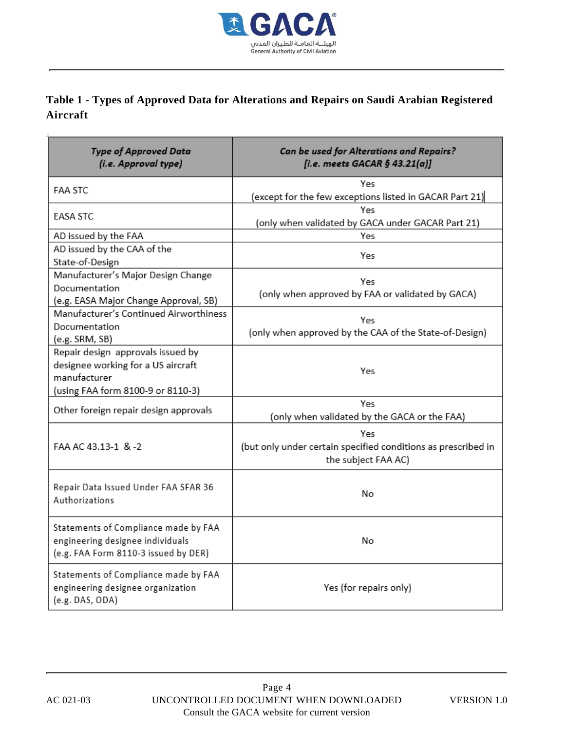

# **Table 1 - Types of Approved Data for Alterations and Repairs on Saudi Arabian Registered Aircraft**

| <b>Type of Approved Data</b><br>(i.e. Approval type)                                                                         | Can be used for Alterations and Repairs?<br>[i.e. meets GACAR $§$ 43.21(a)]                 |
|------------------------------------------------------------------------------------------------------------------------------|---------------------------------------------------------------------------------------------|
| <b>FAA STC</b>                                                                                                               | Yes<br>(except for the few exceptions listed in GACAR Part 21)                              |
| <b>EASA STC</b>                                                                                                              | Yes<br>(only when validated by GACA under GACAR Part 21)                                    |
| AD issued by the FAA                                                                                                         | Yes                                                                                         |
| AD issued by the CAA of the<br>State-of-Design                                                                               | Yes                                                                                         |
| Manufacturer's Major Design Change<br>Documentation<br>(e.g. EASA Major Change Approval, SB)                                 | Yes<br>(only when approved by FAA or validated by GACA)                                     |
| Manufacturer's Continued Airworthiness<br>Documentation<br>(e.g. SRM, SB)                                                    | Yes<br>(only when approved by the CAA of the State-of-Design)                               |
| Repair design approvals issued by<br>designee working for a US aircraft<br>manufacturer<br>(using FAA form 8100-9 or 8110-3) | Yes                                                                                         |
| Other foreign repair design approvals                                                                                        | Yes<br>(only when validated by the GACA or the FAA)                                         |
| FAA AC 43.13-1 & -2                                                                                                          | Yes<br>(but only under certain specified conditions as prescribed in<br>the subject FAA AC) |
| Repair Data Issued Under FAA SFAR 36<br>Authorizations                                                                       | No                                                                                          |
| Statements of Compliance made by FAA<br>engineering designee individuals<br>(e.g. FAA Form 8110-3 issued by DER)             | No                                                                                          |
| Statements of Compliance made by FAA<br>engineering designee organization<br>(e.g. DAS, ODA)                                 | Yes (for repairs only)                                                                      |

 $\bar{1}$